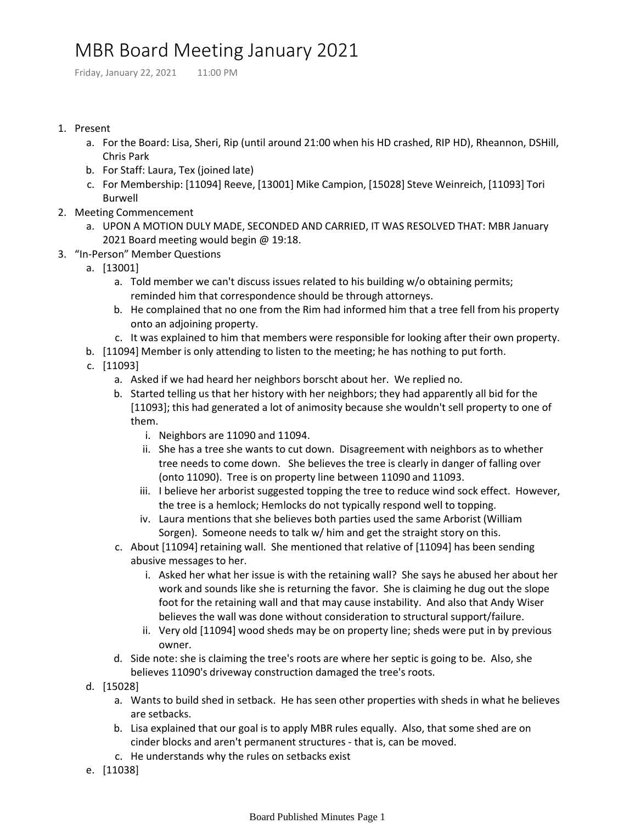## MBR Board Meeting January 2021

Friday, January 22, 2021 11:00 PM

## 1. Present

- a. For the Board: Lisa, Sheri, Rip (until around 21:00 when his HD crashed, RIP HD), Rheannon, DSHill, Chris Park
- b. For Staff: Laura, Tex (joined late)
- c. For Membership: [11094] Reeve, [13001] Mike Campion, [15028] Steve Weinreich, [11093] Tori Burwell
- 2. Meeting Commencement
	- UPON A MOTION DULY MADE, SECONDED AND CARRIED, IT WAS RESOLVED THAT: MBR January a. 2021 Board meeting would begin @ 19:18.
- 3. "In-Person" Member Questions
	- a. [13001]
		- Told member we can't discuss issues related to his building w/o obtaining permits; a. reminded him that correspondence should be through attorneys.
		- b. He complained that no one from the Rim had informed him that a tree fell from his property onto an adjoining property.
		- c. It was explained to him that members were responsible for looking after their own property.
	- b. [11094] Member is only attending to listen to the meeting; he has nothing to put forth.
	- c. [11093]
		- a. Asked if we had heard her neighbors borscht about her. We replied no.
		- b. Started telling us that her history with her neighbors; they had apparently all bid for the [11093]; this had generated a lot of animosity because she wouldn't sell property to one of them.
			- i. Neighbors are 11090 and 11094.
			- ii. She has a tree she wants to cut down. Disagreement with neighbors as to whether tree needs to come down. She believes the tree is clearly in danger of falling over (onto 11090). Tree is on property line between 11090 and 11093.
			- iii. I believe her arborist suggested topping the tree to reduce wind sock effect. However, the tree is a hemlock; Hemlocks do not typically respond well to topping.
			- iv. Laura mentions that she believes both parties used the same Arborist (William Sorgen). Someone needs to talk w/ him and get the straight story on this.
		- c. About [11094] retaining wall. She mentioned that relative of [11094] has been sending abusive messages to her.
			- i. Asked her what her issue is with the retaining wall? She says he abused her about her work and sounds like she is returning the favor. She is claiming he dug out the slope foot for the retaining wall and that may cause instability. And also that Andy Wiser believes the wall was done without consideration to structural support/failure.
			- ii. Very old [11094] wood sheds may be on property line; sheds were put in by previous owner.
		- d. Side note: she is claiming the tree's roots are where her septic is going to be. Also, she believes 11090's driveway construction damaged the tree's roots.
	- d. [15028]
		- Wants to build shed in setback. He has seen other properties with sheds in what he believes a. are setbacks.
		- b. Lisa explained that our goal is to apply MBR rules equally. Also, that some shed are on cinder blocks and aren't permanent structures - that is, can be moved.
		- c. He understands why the rules on setbacks exist
	- e. [11038]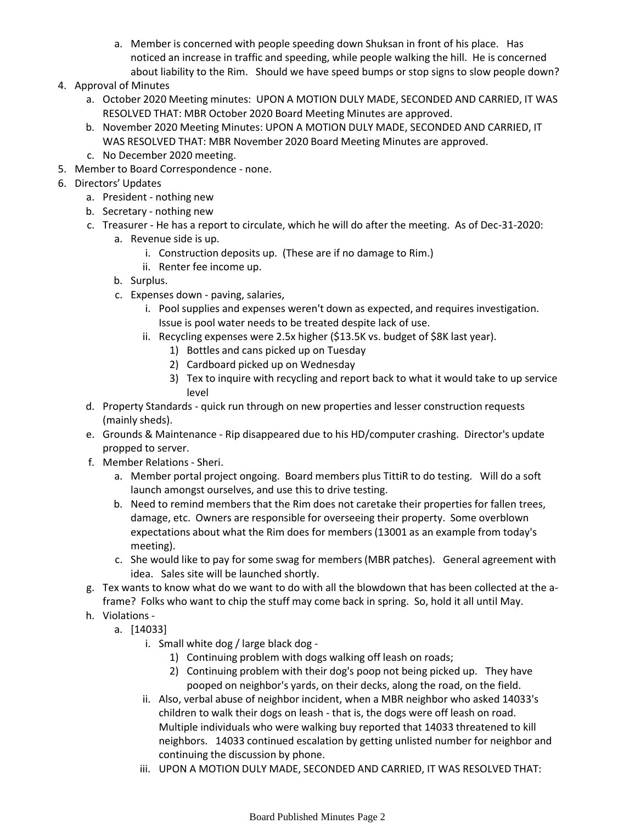- Member is concerned with people speeding down Shuksan in front of his place. Has a. noticed an increase in traffic and speeding, while people walking the hill. He is concerned about liability to the Rim. Should we have speed bumps or stop signs to slow people down?
- 4. Approval of Minutes
	- a. October 2020 Meeting minutes: UPON A MOTION DULY MADE, SECONDED AND CARRIED, IT WAS RESOLVED THAT: MBR October 2020 Board Meeting Minutes are approved.
	- b. November 2020 Meeting Minutes: UPON A MOTION DULY MADE, SECONDED AND CARRIED, IT WAS RESOLVED THAT: MBR November 2020 Board Meeting Minutes are approved.
	- c. No December 2020 meeting.
- 5. Member to Board Correspondence none.
- 6. Directors' Updates
	- a. President nothing new
	- b. Secretary nothing new
	- c. Treasurer He has a report to circulate, which he will do after the meeting. As of Dec-31-2020:
		- a. Revenue side is up.
			- i. Construction deposits up. (These are if no damage to Rim.)
			- ii. Renter fee income up.
		- b. Surplus.
		- c. Expenses down paving, salaries,
			- Pool supplies and expenses weren't down as expected, and requires investigation. i. Issue is pool water needs to be treated despite lack of use.
			- ii. Recycling expenses were 2.5x higher (\$13.5K vs. budget of \$8K last year).
				- 1) Bottles and cans picked up on Tuesday
				- 2) Cardboard picked up on Wednesday
				- Tex to inquire with recycling and report back to what it would take to up service 3) level
	- d. Property Standards quick run through on new properties and lesser construction requests (mainly sheds).
	- e. Grounds & Maintenance Rip disappeared due to his HD/computer crashing. Director's update propped to server.
	- f. Member Relations Sheri.
		- Member portal project ongoing. Board members plus TittiR to do testing. Will do a soft a. launch amongst ourselves, and use this to drive testing.
		- b. Need to remind members that the Rim does not caretake their properties for fallen trees, damage, etc. Owners are responsible for overseeing their property. Some overblown expectations about what the Rim does for members (13001 as an example from today's meeting).
		- c. She would like to pay for some swag for members (MBR patches). General agreement with idea. Sales site will be launched shortly.
	- Tex wants to know what do we want to do with all the blowdown that has been collected at the a-g. frame? Folks who want to chip the stuff may come back in spring. So, hold it all until May.
	- h. Violations
		- a. [14033]
			- i. Small white dog / large black dog
				- 1) Continuing problem with dogs walking off leash on roads;
				- 2) Continuing problem with their dog's poop not being picked up. They have pooped on neighbor's yards, on their decks, along the road, on the field.
			- ii. Also, verbal abuse of neighbor incident, when a MBR neighbor who asked 14033's children to walk their dogs on leash - that is, the dogs were off leash on road. Multiple individuals who were walking buy reported that 14033 threatened to kill neighbors. 14033 continued escalation by getting unlisted number for neighbor and continuing the discussion by phone.
			- iii. UPON A MOTION DULY MADE, SECONDED AND CARRIED, IT WAS RESOLVED THAT: